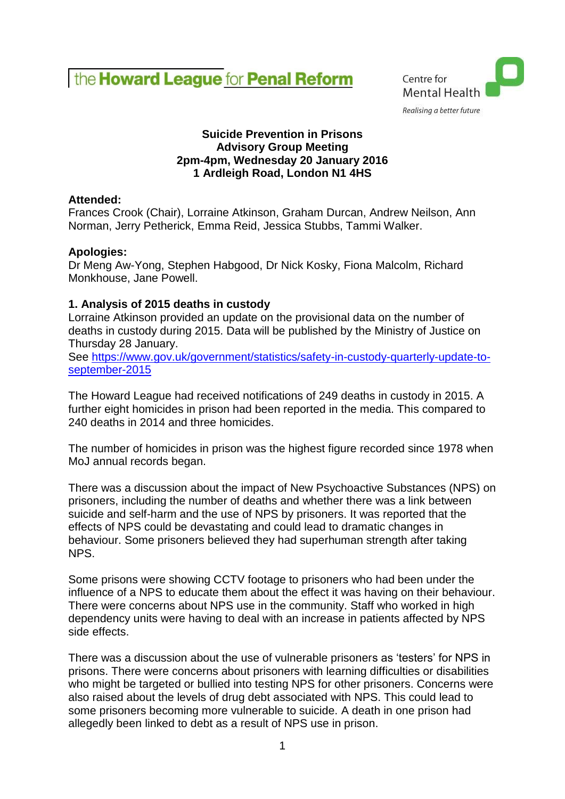



# **Suicide Prevention in Prisons Advisory Group Meeting 2pm-4pm, Wednesday 20 January 2016 1 Ardleigh Road, London N1 4HS**

# **Attended:**

Frances Crook (Chair), Lorraine Atkinson, Graham Durcan, Andrew Neilson, Ann Norman, Jerry Petherick, Emma Reid, Jessica Stubbs, Tammi Walker.

# **Apologies:**

Dr Meng Aw-Yong, Stephen Habgood, Dr Nick Kosky, Fiona Malcolm, Richard Monkhouse, Jane Powell.

# **1. Analysis of 2015 deaths in custody**

Lorraine Atkinson provided an update on the provisional data on the number of deaths in custody during 2015. Data will be published by the Ministry of Justice on Thursday 28 January.

See [https://www.gov.uk/government/statistics/safety-in-custody-quarterly-update-to](https://www.gov.uk/government/statistics/safety-in-custody-quarterly-update-to-september-2015)[september-2015](https://www.gov.uk/government/statistics/safety-in-custody-quarterly-update-to-september-2015)

The Howard League had received notifications of 249 deaths in custody in 2015. A further eight homicides in prison had been reported in the media. This compared to 240 deaths in 2014 and three homicides.

The number of homicides in prison was the highest figure recorded since 1978 when MoJ annual records began.

There was a discussion about the impact of New Psychoactive Substances (NPS) on prisoners, including the number of deaths and whether there was a link between suicide and self-harm and the use of NPS by prisoners. It was reported that the effects of NPS could be devastating and could lead to dramatic changes in behaviour. Some prisoners believed they had superhuman strength after taking NPS.

Some prisons were showing CCTV footage to prisoners who had been under the influence of a NPS to educate them about the effect it was having on their behaviour. There were concerns about NPS use in the community. Staff who worked in high dependency units were having to deal with an increase in patients affected by NPS side effects.

There was a discussion about the use of vulnerable prisoners as 'testers' for NPS in prisons. There were concerns about prisoners with learning difficulties or disabilities who might be targeted or bullied into testing NPS for other prisoners. Concerns were also raised about the levels of drug debt associated with NPS. This could lead to some prisoners becoming more vulnerable to suicide. A death in one prison had allegedly been linked to debt as a result of NPS use in prison.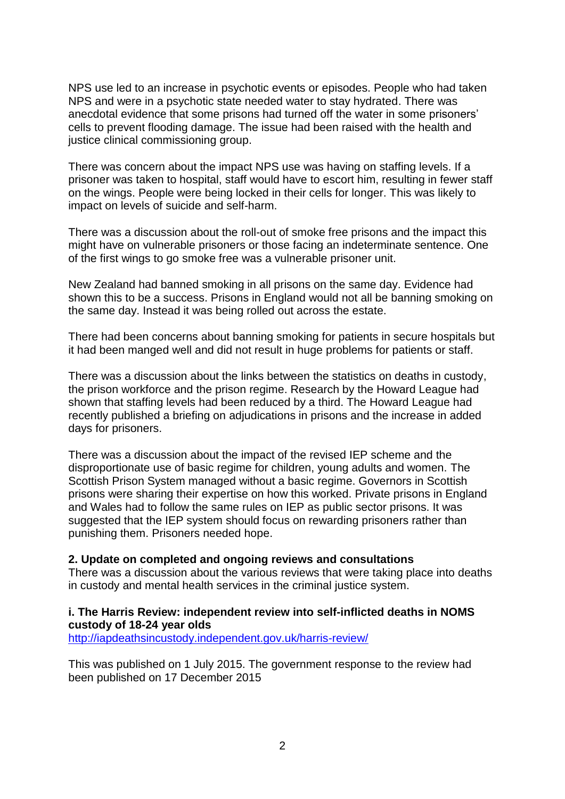NPS use led to an increase in psychotic events or episodes. People who had taken NPS and were in a psychotic state needed water to stay hydrated. There was anecdotal evidence that some prisons had turned off the water in some prisoners' cells to prevent flooding damage. The issue had been raised with the health and justice clinical commissioning group.

There was concern about the impact NPS use was having on staffing levels. If a prisoner was taken to hospital, staff would have to escort him, resulting in fewer staff on the wings. People were being locked in their cells for longer. This was likely to impact on levels of suicide and self-harm.

There was a discussion about the roll-out of smoke free prisons and the impact this might have on vulnerable prisoners or those facing an indeterminate sentence. One of the first wings to go smoke free was a vulnerable prisoner unit.

New Zealand had banned smoking in all prisons on the same day. Evidence had shown this to be a success. Prisons in England would not all be banning smoking on the same day. Instead it was being rolled out across the estate.

There had been concerns about banning smoking for patients in secure hospitals but it had been manged well and did not result in huge problems for patients or staff.

There was a discussion about the links between the statistics on deaths in custody, the prison workforce and the prison regime. Research by the Howard League had shown that staffing levels had been reduced by a third. The Howard League had recently published a briefing on adjudications in prisons and the increase in added days for prisoners.

There was a discussion about the impact of the revised IEP scheme and the disproportionate use of basic regime for children, young adults and women. The Scottish Prison System managed without a basic regime. Governors in Scottish prisons were sharing their expertise on how this worked. Private prisons in England and Wales had to follow the same rules on IEP as public sector prisons. It was suggested that the IEP system should focus on rewarding prisoners rather than punishing them. Prisoners needed hope.

#### **2. Update on completed and ongoing reviews and consultations**

There was a discussion about the various reviews that were taking place into deaths in custody and mental health services in the criminal justice system.

## **i. The Harris Review: independent review into self-inflicted deaths in NOMS custody of 18-24 year olds**

<http://iapdeathsincustody.independent.gov.uk/harris-review/>

This was published on 1 July 2015. The government response to the review had been published on 17 December 2015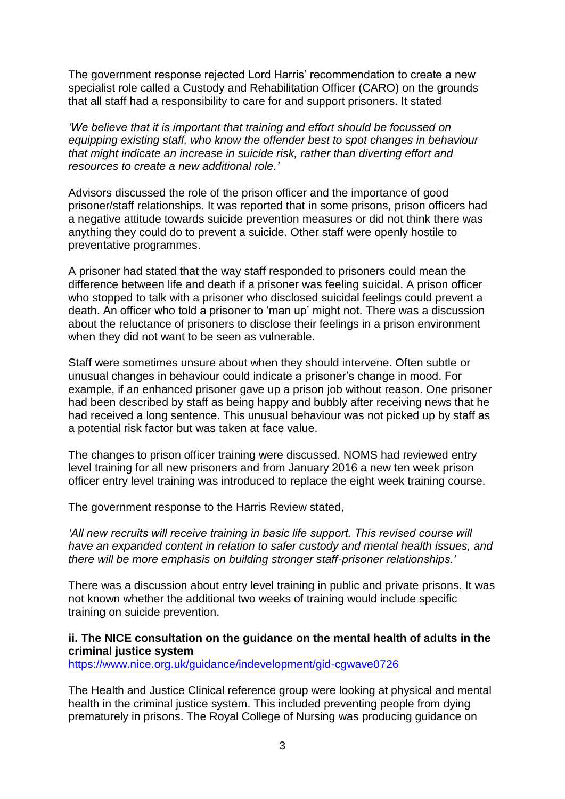The government response rejected Lord Harris' recommendation to create a new specialist role called a Custody and Rehabilitation Officer (CARO) on the grounds that all staff had a responsibility to care for and support prisoners. It stated

*'We believe that it is important that training and effort should be focussed on equipping existing staff, who know the offender best to spot changes in behaviour that might indicate an increase in suicide risk, rather than diverting effort and resources to create a new additional role.'*

Advisors discussed the role of the prison officer and the importance of good prisoner/staff relationships. It was reported that in some prisons, prison officers had a negative attitude towards suicide prevention measures or did not think there was anything they could do to prevent a suicide. Other staff were openly hostile to preventative programmes.

A prisoner had stated that the way staff responded to prisoners could mean the difference between life and death if a prisoner was feeling suicidal. A prison officer who stopped to talk with a prisoner who disclosed suicidal feelings could prevent a death. An officer who told a prisoner to 'man up' might not. There was a discussion about the reluctance of prisoners to disclose their feelings in a prison environment when they did not want to be seen as vulnerable.

Staff were sometimes unsure about when they should intervene. Often subtle or unusual changes in behaviour could indicate a prisoner's change in mood. For example, if an enhanced prisoner gave up a prison job without reason. One prisoner had been described by staff as being happy and bubbly after receiving news that he had received a long sentence. This unusual behaviour was not picked up by staff as a potential risk factor but was taken at face value.

The changes to prison officer training were discussed. NOMS had reviewed entry level training for all new prisoners and from January 2016 a new ten week prison officer entry level training was introduced to replace the eight week training course.

The government response to the Harris Review stated,

*'All new recruits will receive training in basic life support. This revised course will have an expanded content in relation to safer custody and mental health issues, and there will be more emphasis on building stronger staff-prisoner relationships.'*

There was a discussion about entry level training in public and private prisons. It was not known whether the additional two weeks of training would include specific training on suicide prevention.

## **ii. The NICE consultation on the guidance on the mental health of adults in the criminal justice system**

<https://www.nice.org.uk/guidance/indevelopment/gid-cgwave0726>

The Health and Justice Clinical reference group were looking at physical and mental health in the criminal justice system. This included preventing people from dying prematurely in prisons. The Royal College of Nursing was producing guidance on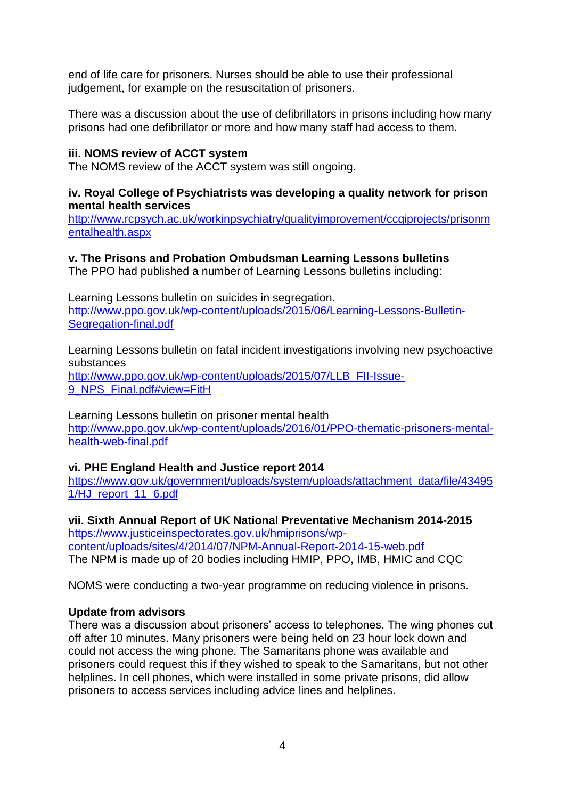end of life care for prisoners. Nurses should be able to use their professional judgement, for example on the resuscitation of prisoners.

There was a discussion about the use of defibrillators in prisons including how many prisons had one defibrillator or more and how many staff had access to them.

# **iii. NOMS review of ACCT system**

The NOMS review of the ACCT system was still ongoing.

### **iv. Royal College of Psychiatrists was developing a quality network for prison mental health services**

[http://www.rcpsych.ac.uk/workinpsychiatry/qualityimprovement/ccqiprojects/prisonm](http://www.rcpsych.ac.uk/workinpsychiatry/qualityimprovement/ccqiprojects/prisonmentalhealth.aspx) [entalhealth.aspx](http://www.rcpsych.ac.uk/workinpsychiatry/qualityimprovement/ccqiprojects/prisonmentalhealth.aspx)

# **v. The Prisons and Probation Ombudsman Learning Lessons bulletins**

The PPO had published a number of Learning Lessons bulletins including:

Learning Lessons bulletin on suicides in segregation. [http://www.ppo.gov.uk/wp-content/uploads/2015/06/Learning-Lessons-Bulletin-](http://www.ppo.gov.uk/wp-content/uploads/2015/06/Learning-Lessons-Bulletin-Segregation-final.pdf)[Segregation-final.pdf](http://www.ppo.gov.uk/wp-content/uploads/2015/06/Learning-Lessons-Bulletin-Segregation-final.pdf)

Learning Lessons bulletin on fatal incident investigations involving new psychoactive substances

[http://www.ppo.gov.uk/wp-content/uploads/2015/07/LLB\\_FII-Issue-](http://www.ppo.gov.uk/wp-content/uploads/2015/07/LLB_FII-Issue-9_NPS_Final.pdf#view=FitH)9 NPS Final.pdf#view=FitH

Learning Lessons bulletin on prisoner mental health [http://www.ppo.gov.uk/wp-content/uploads/2016/01/PPO-thematic-prisoners-mental](http://www.ppo.gov.uk/wp-content/uploads/2016/01/PPO-thematic-prisoners-mental-health-web-final.pdf)[health-web-final.pdf](http://www.ppo.gov.uk/wp-content/uploads/2016/01/PPO-thematic-prisoners-mental-health-web-final.pdf)

## **vi. PHE England Health and Justice report 2014**

[https://www.gov.uk/government/uploads/system/uploads/attachment\\_data/file/43495](https://www.gov.uk/government/uploads/system/uploads/attachment_data/file/434951/HJ_report_11_6.pdf) [1/HJ\\_report\\_11\\_6.pdf](https://www.gov.uk/government/uploads/system/uploads/attachment_data/file/434951/HJ_report_11_6.pdf)

**vii. Sixth Annual Report of UK National Preventative Mechanism 2014-2015** [https://www.justiceinspectorates.gov.uk/hmiprisons/wp](https://www.justiceinspectorates.gov.uk/hmiprisons/wp-content/uploads/sites/4/2014/07/NPM-Annual-Report-2014-15-web.pdf)[content/uploads/sites/4/2014/07/NPM-Annual-Report-2014-15-web.pdf](https://www.justiceinspectorates.gov.uk/hmiprisons/wp-content/uploads/sites/4/2014/07/NPM-Annual-Report-2014-15-web.pdf) The NPM is made up of 20 bodies including HMIP, PPO, IMB, HMIC and CQC

NOMS were conducting a two-year programme on reducing violence in prisons.

# **Update from advisors**

There was a discussion about prisoners' access to telephones. The wing phones cut off after 10 minutes. Many prisoners were being held on 23 hour lock down and could not access the wing phone. The Samaritans phone was available and prisoners could request this if they wished to speak to the Samaritans, but not other helplines. In cell phones, which were installed in some private prisons, did allow prisoners to access services including advice lines and helplines.